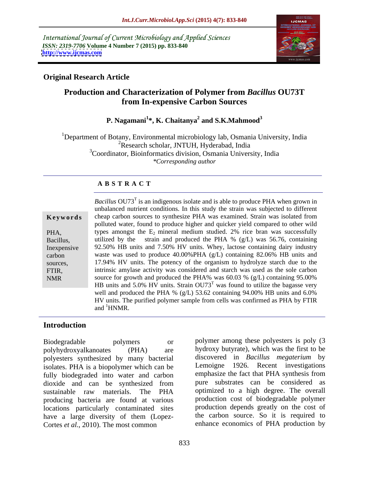International Journal of Current Microbiology and Applied Sciences *ISSN: 2319-7706* **Volume 4 Number 7 (2015) pp. 833-840 <http://www.ijcmas.com>**



### **Original Research Article**

## **Production and Characterization of Polymer from** *Bacillus* **OU73T from In-expensive Carbon Sources**

### **P. Nagamani<sup>1</sup> \*, K. Chaitanya<sup>2</sup> and S.K.Mahmood<sup>3</sup>**

1Department of Botany, Environmental microbiology lab, Osmania University, India <sup>2</sup>Research scholar, JNTUH, Hyderabad, India <sup>3</sup>Coordinator, Bioinformatics division, Osmania University, India *\*Corresponding author*

### **A B S T R A C T**

NMR

Bacillus OU73<sup>T</sup> is an indigenous isolate and is able to produce PHA when grown in unbalanced nutrient conditions. In this study the strain was subjected to different cheap carbon sources to synthesize PHA was examined. Strain was isolated from **Ke ywo rds** polluted water, found to produce higher and quicker yield compared to other wild PHA, types amongst the  $E_2$  mineral medium studied. 2% rice bran was successfully utilized by the strain and produced the PHA % (g/L) was 56.76, containing Bacillus, 92.50% HB units and 7.50% HV units. Whey, lactose containing dairy industry Inexpensive waste was used to produce 40.00%PHA (g/L) containing 82.06% HB units and carbon sources, 17.94% HV units. The potency of the organism to hydrolyze starch due to the intrinsic amylase activity was considered and starch was used as the sole carbon FTIR, source for growth and produced the PHA% was 60.03 % (g/L) containing 95.00% HB units and 5.0% HV units. Strain  $OUT3^T$  was found to utilize the bagasse very well and produced the PHA % (g/L) 53.62 containing 94.00% HB units and 6.0% HV units. The purified polymer sample from cells was confirmed as PHA by FTIR and <sup>1</sup>HNMR. and <sup>1</sup>HNMR.

### **Introduction**

polyesters synthesized by many bacterial isolates. PHA is a biopolymer which can be fully biodegraded into water and carbon dioxide and can be synthesized from producing bacteria are found at various locations particularly contaminated sites have a large diversity of them (Lopez- Cortes *et al.*, 2010). The most common

Biodegradable polymers or polymer among these polyesters is poly (3 polyhydroxyalkanoates (PHA) are hydroxy butyrate), which was the first to be sustainable raw materials. The PHA optimized to a high degree. The overall discovered in *Bacillus megaterium* by Lemoigne 1926. Recent investigations emphasize the fact that PHA synthesis from pure substrates can be considered as optimized to a high degree. The overall production cost of biodegradable polymer production depends greatly on the cost of the carbon source. So it is required to enhance economics of PHA production by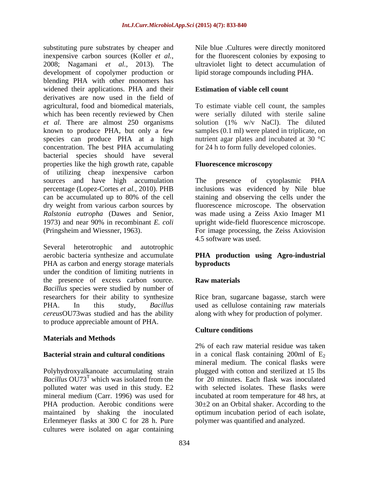substituting pure substrates by cheaper and Nile blue .Cultures were directly monitored inexpensive carbon sources (Koller *et al.*, 2008; Nagamani *et al.*, 2013). The development of copolymer production or blending PHA with other monomers has widened their applications. PHA and their derivatives are now used in the field of agricultural, food and biomedical materials, To estimate viable cell count, the samples which has been recently reviewed by Chen were serially diluted with sterile saline *et al.* There are almost 250 organisms solution (1% w/v NaCl). The diluted known to produce PHA, but only a few samples (0.1 ml) were plated in triplicate, on species can produce PHA at a high nutrient agar plates and incubated at 30 °C concentration. The best PHA accumulating bacterial species should have several properties like the high growth rate, capable **Fluorescence microscopy** of utilizing cheap inexpensive carbon sources and have high accumulation The presence of cytoplasmic PHA percentage (Lopez-Cortes *et al.*, 2010). PHB can be accumulated up to 80% of the cell staining and observing the cells under the dry weight from various carbon sources by fluorescence microscope. The observation *Ralstonia eutropha* (Dawes and Senior, was made using a Zeiss Axio Imager M1 1973) and near 90% in recombinant *E. coli* upright wide-field fluorescence microscope.

Several heterotrophic and autotrophic aerobic bacteria synthesize and accumulate **PHA production using Agro-industrial**  PHA as carbon and energy storage materials **byproducts** under the condition of limiting nutrients in the presence of excess carbon source. **Raw materials** *Bacillus* species were studied by number of researchers for their ability to synthesize Rice bran, sugarcane bagasse, starch were PHA. In this study, *Bacillus*  used as cellulose containing raw materials *cereus*OU73was studied and has the ability along with whey for production of polymer. to produce appreciable amount of PHA.

Polyhydroxyalkanoate accumulating strain plugged with cotton and sterilized at 15 lbs *Bacillus* OU73<sup>T</sup> which was isolated from the polluted water was used in this study. E2 with selected isolates. These flasks were mineral medium (Carr. 1996) was used for incubated at room temperature for 48 hrs, at PHA production. Aerobic conditions were  $30\pm 2$  on an Orbital shaker. According to the maintained by shaking the inoculated optimum incubation period of each isolate, Erlenmeyer flasks at 300 C for 28 h. Pure cultures were isolated on agar containing

for the fluorescent colonies by exposing to ultraviolet light to detect accumulation of lipid storage compounds including PHA.

### **Estimation of viable cell count**

for 24 h to form fully developed colonies.

### **Fluorescence microscopy**

(Pringsheim and Wiessner, 1963). For image processing, the Zeiss Axiovision The presence of cytoplasmic PHA inclusions was evidenced by Nile blue 4.5 software was used.

# **byproducts**

### **Raw materials**

### **Culture conditions**

**Materials and Methods**<br>2% of each raw material residue was taken **Bacterial strain and cultural conditions** in a conical flask containing 200ml of E<sub>2</sub> which was isolated from the for 20 minutes. Each flask was inoculated 2% of each raw material residue was taken mineral medium. The conical flasks were polymer was quantified and analyzed.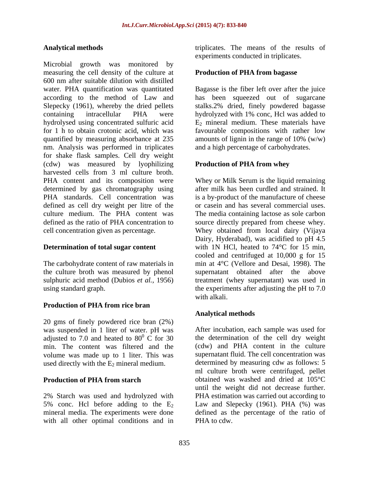Microbial growth was monitored by measuring the cell density of the culture at 600 nm after suitable dilution with distilled water. PHA quantification was quantitated Bagasse is the fiber left over after the juice according to the method of Law and has been squeezed out of sugarcane Slepecky (1961), whereby the dried pellets stalks.2% dried, finely powdered bagasse containing intracellular PHA were hydrolyzed with 1% conc, Hcl was added to hydrolysed using concentrated sulfuric acid  $E_2$  mineral medium. These materials have for 1 h to obtain crotonic acid, which was favourable compositions with rather low quantified by measuring absorbance at 235 amounts of lignin in the range of 10% (w/w) nm. Analysis was performed in triplicates for shake flask samples. Cell dry weight (cdw) was measured by lyophilizing harvested cells from 3 ml culture broth. PHA content and its composition were Whey or Milk Serum is the liquid remaining determined by gas chromatography using PHA standards. Cell concentration was defined as cell dry weight per litre of the culture medium. The PHA content was The media containing lactose as sole carbon defined as the ratio of PHA concentration to source directly prepared from cheese whey. cell concentration given as percentage. Whey obtained from local dairy (Vijaya

the culture broth was measured by phenol

### **Production of PHA from rice bran**

20 gms of finely powdered rice bran (2%) was suspended in 1 liter of water. pH was adjusted to 7.0 and heated to  $80^{\circ}$  C for 30 min. The content was filtered and the volume was made up to 1 liter. This was used directly with the  $E_2$  mineral medium.

2% Starch was used and hydrolyzed with with all other optimal conditions and in

Analytical methods **EXECUTE:** The means of the results of experiments conducted in triplicates.

### **Production of PHA from bagasse**

and a high percentage of carbohydrates.

### **Production of PHA from whey**

**Determination of total sugar content** with 1N HCl, heated to 74<sup>o</sup>C for 15 min, The carbohydrate content of raw materials in min at 4°C (Vellore and Desai, 1998). The sulphuric acid method (Dubios *et al.,* 1956) treatment (whey supernatant) was used in using standard graph. the experiments after adjusting the pH to 7.0 after milk has been curdled and strained. It is a by-product of the manufacture of cheese or casein and has several commercial uses. source directly prepared from cheese whey. Whey obtained from local dairy (Vijaya Dairy, Hyderabad), was acidified to pH 4.5 cooled and centrifuged at 10,000 g for 15 supernatant obtained after the above with alkali.

### **Analytical methods**

 $\overline{0}$  C for 30 the determination of the cell dry weight **Production of PHA from starch b** obtained was washed and dried at 105°C 5% conc. Hel before adding to the  $E_2$  Law and Slepecky (1961). PHA (%) was mineral media. The experiments were done defined as the percentage of the ratio of After incubation, each sample was used for (cdw) and PHA content in the culture supernatant fluid. The cell concentration was determined by measuring cdw as follows: 5 ml culture broth were centrifuged, pellet until the weight did not decrease further. PHA estimation was carried out according to PHA to cdw.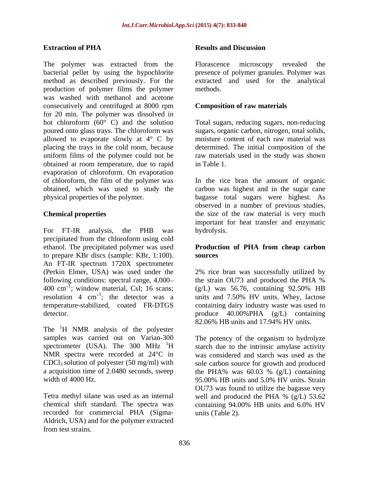The polymer was extracted from the Florascence microscopy revealed the bacterial pellet by using the hypochlorite presence of polymer granules. Polymer was method as described previously. For the production of polymer films the polymer was washed with methanol and acetone consecutively and centrifuged at 8000 rpm for 20 min. The polymer was dissolved in hot chloroform (60° C) and the solution Total sugars, reducing sugars, non-reducing poured onto glass trays. The chloroform was sugars, organic carbon, nitrogen, total solids, allowed to evaporate slowly at  $4^{\circ}$  C by placing the trays in the cold room, because uniform films of the polymer could not be raw materials used in the study was shown obtained at room temperature, due to rapid evaporation of chloroform. On evaporation of chloroform, the film of the polymer was In the rice bran the amount of organic obtained, which was used to study the carbon was highest and in the sugar cane physical properties of the polymer. bagasse total sugars were highest. As **Excelies the strains and Discussion Results and Discussion**<br> **Excelience of polymer was extracted from the Florence minimals of polymer generate the<br>strains and the strains. The polymer controlled as described proposit** 

For FT-IR analysis, the PHB was hydrolysis. precipitated from the chloroform using cold ethanol. The precipitated polymer was used **Production of PHA from cheap carbon** to prepare KBr discs (sample: KBr, 1:100). An FT-IR spectrum 1720X spectrometer (Perkin Elmer, USA) was used under the following conditions: spectral range, 4,000— the strain OU73 and produced the PHA % 400 cm<sup>-1</sup>; window material, CsI; 16 scans; (g/L) was 56.76, containing 92.50% HB 400 cm<sup>-1</sup>; window material, CsI; 16 scans; (g/L) was 56.76, containing 92.50% HB resolution 4  $cm^{-1}$ ; the detector was a units and 7.50% HV units. Whey, lactose temperature-stabilized, coated FR-DTGS

The <sup>1</sup>H NMR analysis of the polyester samples was carried out on Varian-300 CDCl3 solution of polyester (50 mg/ml) with width of  $4000$  Hz.  $95.00\%$  HB units and  $5.0\%$  HV units. Strain

chemical shift standard. The spectra was containing 94.00% HB units and 6.0% HV recorded for commercial PHA (Sigma- Aldrich, USA) and for the polymer extracted

### **Extraction of PHA**

Florascence microscopy revealed the extracted and used for the analytical methods.

### **Composition of raw materials**

moisture content of each raw material was determined. The initial composition of the in Table 1.

**Chemical properties**  the size of the raw material is very much observed in a number of previous studies, important for heat transfer and enzymatic hydrolysis.

# **sources**

detector. produce 40.00%PHA (g/L) containing 2% rice bran was successfully utilized by the strain OU73 and produced the PHA % (g/L) was 56.76, containing 92.50% HB containing dairy industry waste was used to 82.06% HB units and 17.94% HV units.

spectrometer (USA). The  $300$  MHz  $^{1}$ H starch due to the intrinsic amylase activity NMR spectra were recorded at 24<sup>°</sup>C in was considered and starch was used as the a acquisition time of 2.0480 seconds, sweep the PHA% was 60.03 % (g/L) containing Tetra methyl silane was used as an internal well and produced the PHA % (g/L) 53.62 The potency of the organism to hydrolyze sole carbon source for growth and produced 95.00% HB units and 5.0% HV units. Strain OU73 was found to utilize the bagasse very containing 94.00% HB units and 6.0% HV units (Table 2).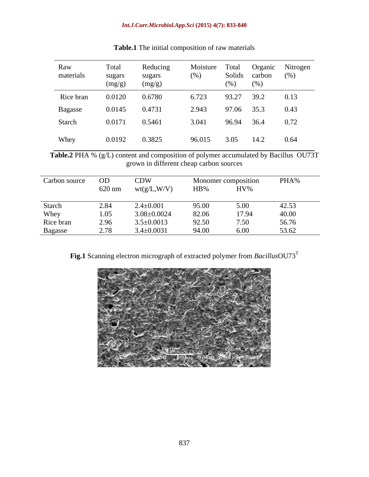| Raw<br>materials | Total<br>sugars<br>(mg/g) | Reducing<br>sugars<br>(mg/g) | Moisture Total<br>(%) | (%)   | Solids carbon<br>(%) | Organic Nitrogen<br>(%) |
|------------------|---------------------------|------------------------------|-----------------------|-------|----------------------|-------------------------|
| Rice bran        | 0.0120                    | 0.6780                       | 6.723                 | 93.27 | 39.2                 | 0.13                    |
| Bagasse          | 0.0145                    | 0.4731                       | 2.943                 | 97.06 | 35.3                 | 0.43                    |
| Starch           | 0.0171                    | 0.5461                       | 3.041                 | 96.94 | 36.4                 | 0.72                    |
| Whey             | 0.0192                    | 0.3825                       | 96.015                | 3.05  | 14.2                 | 0.64                    |

**Table.1** The initial composition of raw materials

**Table.2** PHA % (g/L) content and composition of polymer accumulated by Bacillus OU73T grown in different cheap carbon sources

| Carbon source |        | <b>CDW</b>        |        | Monomer composition | PHA%  |
|---------------|--------|-------------------|--------|---------------------|-------|
|               | 620 nm | wt(g/L, W/V)      | $HB\%$ | $\rm{HV\%}$         |       |
| Starch        |        | $2.4 \pm 0.001$   | 95.00  | 5.00                | 42.53 |
| Whey          |        | $3.08 \pm 0.0024$ | 82.06  | 17.94               | 40.00 |
| Rice bran     | 2.96   | $3.5 \pm 0.0013$  | 92.50  | 7.50                | 56.76 |
| Bagasse       |        | $3.4 \pm 0.0031$  | 94.00  | 6.00                | 53.62 |

**Fig.1** Scanning electron micrograph of extracted polymer from *Bacillus*OU73<sup>T</sup>

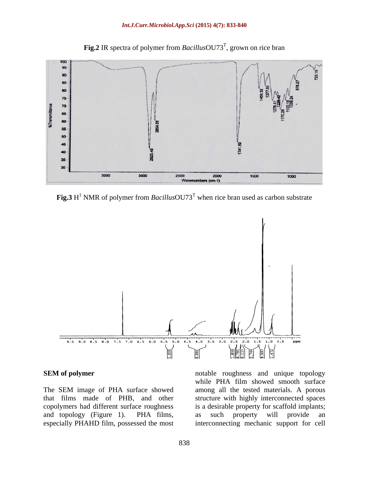

Fig.2 IR spectra of polymer from *Bacillus*OU73<sup>T</sup>, grown on rice bran , grown on rice bran

**Fig.3** H<sup>1</sup> NMR of polymer from *Bacillus*OU73<sup>T</sup> when rice bran used as carbon substrate



**SEM of polymer notable roughness** and unique topology The SEM image of PHA surface showed among all the tested materials. A porous that films made of PHB, and other structure with highly interconnected spaces copolymers had different surface roughness is a desirable property for scaffold implants; and topology (Figure 1). PHA films, especially PHAHD film, possessed the most interconnecting mechanic support for cellwhile PHA film showed smooth surface as such property will provide an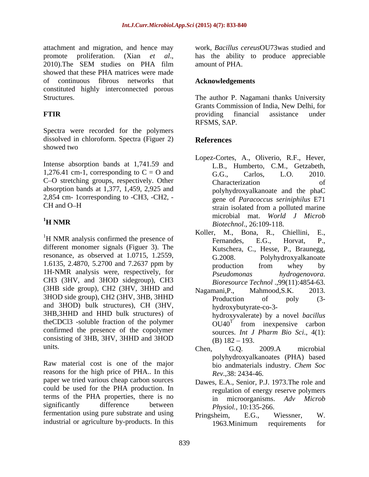attachment and migration, and hence may promote proliferation. (Xian *et al.*, has the ability to produce appreciable 2010). The SEM studies on PHA film amount of PHA. showed that these PHA matrices were made of continuous fibrous networks that constituted highly interconnected porous

Spectra were recorded for the polymers dissolved in chloroform. Spectra (Figuer 2) References showed two showed two showed two showed two showed two showed two showed two showed two showed two showed two showed two showed two showed two showed two showed two showed two showed two showed two showed two showed two sh

Intense absorption bands at 1,741.59 and 1,276.41 cm-1, corresponding to  $C = O$  and  $G.G.,$  Carlos. L.O. 2010. C-O stretching groups, respectively. Other Characterization of absorption bands at 1,377, 1,459, 2,925 and 2,854 cm- 1corresponding to -CH3, -CH2, -

different monomer signals (Figuer 3). The resonance, as observed at 1.0715, 1.2559, 1.6135, 2.4870, 5.2700 and 7.2637 ppm by 1H-NMR analysis were, respectively, for *Pseudomonas hydrogenovora.* CH3 (3HV, and 3HOD sidegroup), CH3 (3HB side group), CH2 (3HV, 3HHD and Nagamani, P., Mahmood, S.K. 2013. 3HOD side group), CH2 (3HV, 3HB, 3HHD Production of poly (3and 3HOD) bulk structures), CH (3HV, 3HB,3HHD and HHD bulk structures) of theCDCl3 -soluble fraction of the polymer confirmed the presence of the copolymer<br>sources. Int J Pharm Bio Sci.,  $4(1)$ : consisting of 3HB, 3HV, 3HHD and 3HOD  $(B)$  182 – 193. units.  $\begin{array}{ccc}\n\text{Units.} \\
\end{array}$ 

Raw material cost is one of the major bio and materials industry. Chem Soc reasons for the high price of PHA.. In this paper we tried various cheap carbon sources could be used for the PHA production. In terms of the PHA properties, there is no significantly difference between *Physiol* 10:135-266 fermentation using pure substrate and using Pringsheim, E.G., Wiessner, W.

work, *Bacillus cereus*OU73was studied and has the ability to produce appreciable amount of PHA.

### **Acknowledgements**

Structures. The author P. Nagamani thanks University **FTIR** providing financial assistance under Grants Commission of India, New Delhi, for providing financial assistance under RFSMS, SAP.

### **References**

- CH and O-H strain isolated from a polluted marine <sup>1</sup>H NMR<br>*Biotechnol.*, 26:109-118. Lopez-Cortes, A., Oliverio, R.F., Hever, L.B., Humberto, C.M., Getzabeth, G.G., Carlos, L.O. 2010. Characterization of polyhydroxyalkanoate and the phaC gene of *Paracoccus seriniphilus* E71 strain isolated from a polluted marine microbial mat. *World J Microb Biotechnol*., 26:109-118.
- <sup>1</sup>H NMR analysis confirmed the presence of Koller, M., Bona, R., Chiellini, E., <sup>1</sup>H NMR analysis confirmed the presence of Fernandes, E.G., Horvat, P., Koller, M., Bona, R., Chiellini, Fernandes, E.G., Horvat, P., Kutschera, C., Hesse, P., Braunegg, Polyhydroxyalkanoate production from whey by *Pseudomonas hydrogenovora*. *Bioresource Technol* .,99(11):4854-63.
	- Nagamani,P., Mahmood,S.K. 2013. Production of poly (3hydroxybutyrate-co-3 hydroxyvalerate) by a novel *bacillus*   $OU40<sup>T</sup>$  from inexpensive carbon from inexpensive carbon sources. *Int J Pharm Bio Sci*., 4(1):  $(B)$  182 – 193.
	- Chen, G.Q. 2009.A microbial polyhydroxyalkanoates (PHA) based bio andmaterials industry. *Chem Soc Rev*.,38: 2434-46.
	- Dawes, E.A., Senior, P.J. 1973.The role and regulation of energy reserve polymers in microorganisms. *Adv Microb Physiol.,* 10:135-266.
- industrial or agriculture by-products. In this 1963.Minimum requirements for Pringsheim, E.G., Wiessner, W. 1963.Minimum requirements for